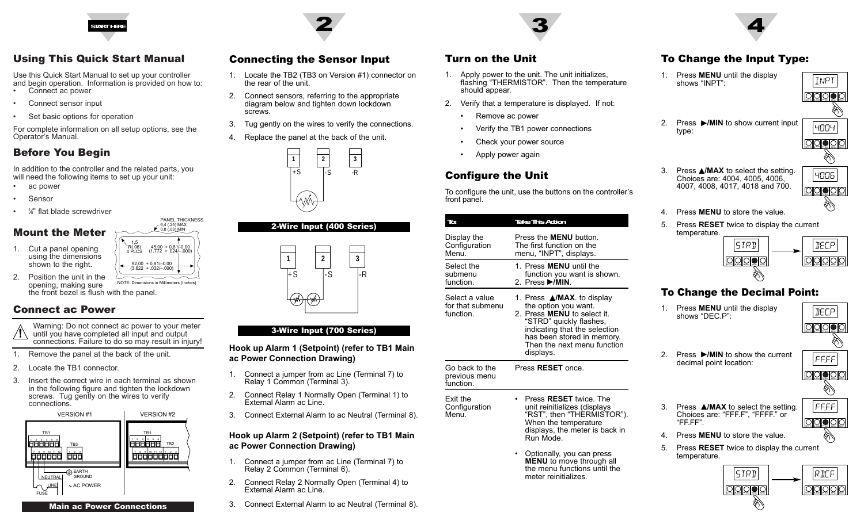

# Using This Quick Start Manual

Use this Quick Start Manual to set up your controller and begin operation. Information is provided on how to: Connect ac power

- •Connect sensor input
- •Set basic options for operation

For complete information on all setup options, see the Operator's Manual.

# Before You Begin

In addition to the controller and the related parts, you will need the following items to set up your unit:

- ac power
- •Sensor

•

•

•• /<sub>8</sub>" flat blade screwdriver

# Mount the Meter

- 1. Cut a panel opening using the dimensions shown to the right.
- 45,00 + 0,61/-0,00 (1.772 + .024/–.000) 92,00 + 0,81/–0,00 (3.622 + .032/–.000) 1,5 R(.06) 4 PLCS6,4 (.25) MAX 0,8 (.03) MIN

PANEL THICKNESS

2. Position the unit in theopening, making sure the front bezel is flush with the panel. NOTE: Dimensions in Millimeters (Inches)

## Connect ac Power

- Warning: Do not connect ac power to your meter until you have completed all input and output connections. Failure to do so may result in injury!
- 1. Remove the panel at the back of the unit.
- 2. Locate the TB1 connector.
- 3. Insert the correct wire in each terminal as shown in the following figure and tighten the lockdown screws. Tug gently on the wires to verify connections.



Main ac Power Connections



## Connecting the Sensor Input

- 1. Locate the TB2 (TB3 on Version #1) connector on the rear of the unit.
- 2. Connect sensors, referring to the appropriate diagram below and tighten down lockdown screws.
- 3. Tug gently on the wires to verify the connections.
- 4. Replace the panel at the back of the unit.





### 3-Wire Input (700 Series)

**Hook up Alarm 1 (Setpoint) (refer to TB1 Main ac Power Connection Drawing)**

- 1. Connect a jumper from ac Line (Terminal 7) to Relay 1 Common (Terminal 3).
- 2. Connect Relay 1 Normally Open (Terminal 1) to External Alarm ac Line.
- 3. Connect External Alarm to ac Neutral (Terminal 8).

### **Hook up Alarm 2 (Setpoint) (refer to TB1 Main ac Power Connection Drawing)**

- 1. Connect a jumper from ac Line (Terminal 7) to Relay 2 Common (Terminal 6).
- 2. Connect Relay 2 Normally Open (Terminal 4) to External Alarm ac Line.
- 3. Connect External Alarm to ac Neutral (Terminal 8).

## Turn on the Unit

- 1. Apply power to the unit. The unit initializes, flashing "THERMISTOR". Then the temperature should appear.
- 2. Verify that a temperature is displayed. If not:
	- •Remove ac power
	- •Verify the TB1 power connections
	- •Check your power source
	- •Apply power again

# Configure the Unit

To configure the unit, use the buttons on the controller's front panel.

| To:                                             | <b>Take This Action</b>                                                                                                                                                                                                                      |  |
|-------------------------------------------------|----------------------------------------------------------------------------------------------------------------------------------------------------------------------------------------------------------------------------------------------|--|
| Display the<br>Configuration<br>Menu.           | Press the <b>MENU</b> button.<br>The first function on the<br>menu, "INPT", displays.                                                                                                                                                        |  |
| Select the<br>submenu<br>function.              | 1. Press MENU until the<br>function you want is shown.<br>2. Press ▶/MIN.                                                                                                                                                                    |  |
| Select a value<br>for that submenu<br>function. | 1. Press $\triangle$ /MAX. to display<br>the option you want.<br>Press <b>MENU</b> to select it.<br>2.<br>"STRD" quickly flashes,<br>indicating that the selection<br>has been stored in memory.<br>Then the next menu function<br>displays. |  |
| Go back to the<br>previous menu<br>function.    | Press <b>RESET</b> once.                                                                                                                                                                                                                     |  |
| Exit the<br>Configuration<br>Menu.              | Press <b>RESET</b> twice. The<br>unit reinitializes (displays<br>"RST", then "THÈRMISTOR").<br>When the temperature<br>displays, the meter is back in<br>Run Mode.                                                                           |  |
|                                                 | Optionally, you can press<br><b>MENU</b> to move through all<br>the menu functions until the<br>meter reinitializes.                                                                                                                         |  |

# To Change the Input Type:

1. Press **MENU** until the display shows "INPT":



2. Press ©**/MIN** to show current input type:

> Choices are: 4004, 4005, 4006, 4007, 4008, 4017, 4018 and 700.



SETPTS A/MAX P/MIN MENU RESET

- 4. Press **MENU** to store the value.
- 5. Press **RESET** twice to display the current temperature.



## To Change the Decimal Point:

1. Press **MENU** until the display shows "DEC.P":

|BECP SETPTS  $|A/MAX|$  /MIN | MENU | RESET

2. Press ©**/MIN** to show the current decimal point location:

FFFF  $\circ$  0000 SETPTS HA/MAXI P/MIN II MENU II RESET D,

3. Press **▲/MAX** to select the setting. Choices are: "FFF.F", "FFFF." or "FF.FF".



- 4. Press **MENU** to store the value.
- 5. Press **RESET** twice to display the current temperature.